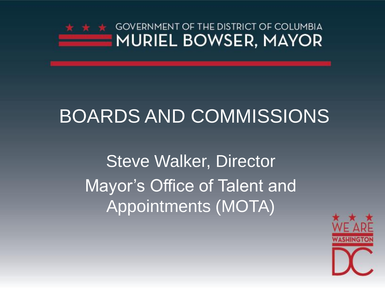

## BOARDS AND COMMISSIONS

Steve Walker, Director Mayor's Office of Talent and Appointments (MOTA)

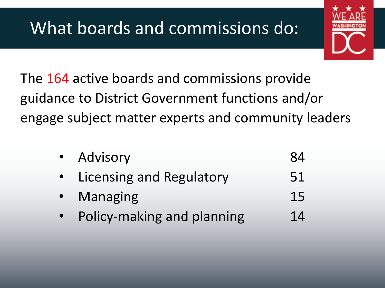## What boards and commissions do:



The 164 active boards and commissions provide guidance to District Government functions and/or engage subject matter experts and community leaders

| • Advisory                   | 84 |
|------------------------------|----|
| • Licensing and Regulatory   | 51 |
| • Managing                   | 15 |
| • Policy-making and planning | 14 |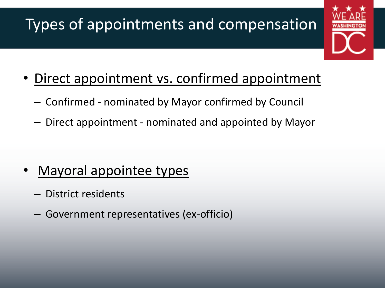### Types of appointments and compensation



- Direct appointment vs. confirmed appointment
	- Confirmed nominated by Mayor confirmed by Council
	- Direct appointment nominated and appointed by Mayor

- Mayoral appointee types
	- District residents
	- Government representatives (ex-officio)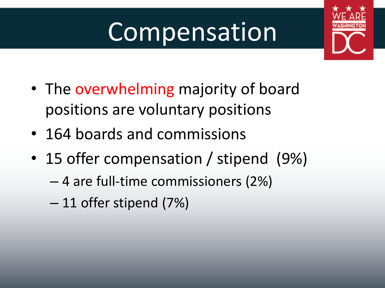# Compensation



- The overwhelming majority of board positions are voluntary positions
- 164 boards and commissions
- 15 offer compensation / stipend (9%)
	- 4 are full-time commissioners (2%)
	- 11 offer stipend (7%)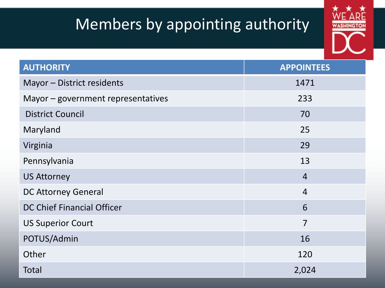#### Members by appointing authority



| <b>AUTHORITY</b>                   | <b>APPOINTEES</b> |
|------------------------------------|-------------------|
| Mayor - District residents         | 1471              |
| Mayor - government representatives | 233               |
| <b>District Council</b>            | 70                |
| Maryland                           | 25                |
| Virginia                           | 29                |
| Pennsylvania                       | 13                |
| <b>US Attorney</b>                 | $\overline{4}$    |
| <b>DC Attorney General</b>         | $\overline{4}$    |
| <b>DC Chief Financial Officer</b>  | 6                 |
| <b>US Superior Court</b>           | $\overline{7}$    |
| POTUS/Admin                        | 16                |
| Other                              | 120               |
| <b>Total</b>                       | 2,024             |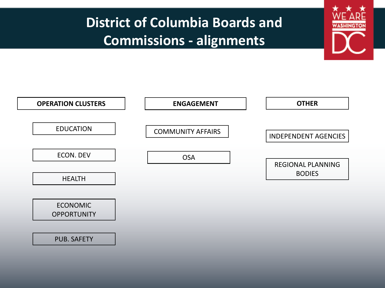#### **District of Columbia Boards and Commissions - alignments**

WASHINGT

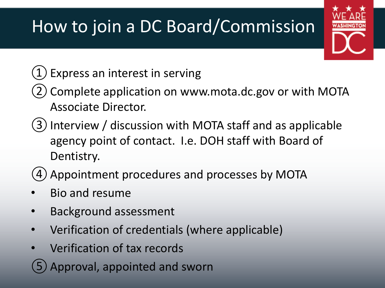# How to join a DC Board/Commission

#### $(1)$  Express an interest in serving

- ②Complete application on www.mota.dc.gov or with MOTA Associate Director.
- ③Interview / discussion with MOTA staff and as applicable agency point of contact. I.e. DOH staff with Board of Dentistry.
- (4) Appointment procedures and processes by MOTA
- Bio and resume
- Background assessment
- Verification of credentials (where applicable)
- Verification of tax records
- Approval, appointed and sworn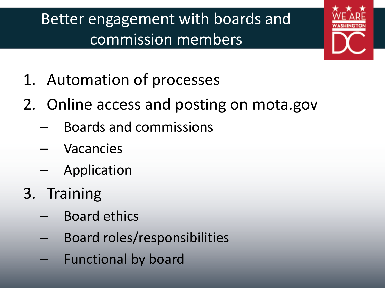## Better engagement with boards and commission members



- 1. Automation of processes
- 2. Online access and posting on mota.gov
	- Boards and commissions
	- Vacancies
	- Application
- 3. Training
	- Board ethics
	- Board roles/responsibilities
	- Functional by board